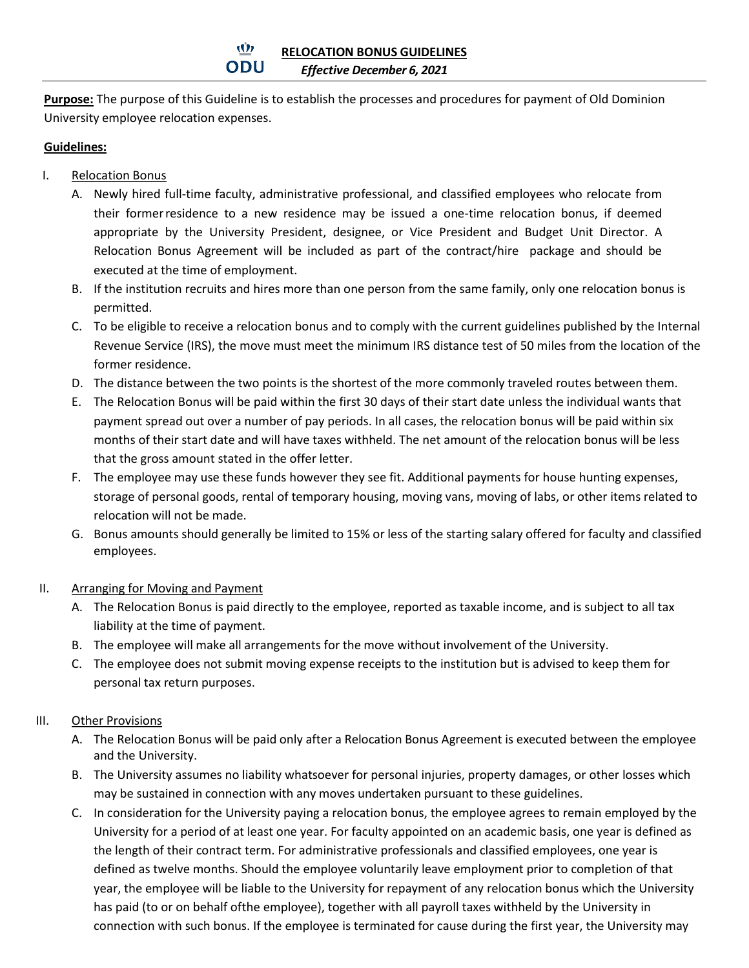**Purpose:** The purpose of this Guideline is to establish the processes and procedures for payment of Old Dominion University employee relocation expenses.

## **Guidelines:**

- I. Relocation Bonus
	- A. Newly hired full-time faculty, administrative professional, and classified employees who relocate from their formerresidence to a new residence may be issued a one-time relocation bonus, if deemed appropriate by the University President, designee, or Vice President and Budget Unit Director. A Relocation Bonus Agreement will be included as part of the contract/hire package and should be executed at the time of employment.
	- B. If the institution recruits and hires more than one person from the same family, only one relocation bonus is permitted.
	- C. To be eligible to receive a relocation bonus and to comply with the current guidelines published by the Internal Revenue Service (IRS), the move must meet the minimum IRS distance test of 50 miles from the location of the former residence.
	- D. The distance between the two points is the shortest of the more commonly traveled routes between them.
	- E. The Relocation Bonus will be paid within the first 30 days of their start date unless the individual wants that payment spread out over a number of pay periods. In all cases, the relocation bonus will be paid within six months of their start date and will have taxes withheld. The net amount of the relocation bonus will be less that the gross amount stated in the offer letter.
	- F. The employee may use these funds however they see fit. Additional payments for house hunting expenses, storage of personal goods, rental of temporary housing, moving vans, moving of labs, or other items related to relocation will not be made.
	- G. Bonus amounts should generally be limited to 15% or less of the starting salary offered for faculty and classified employees.
- II. Arranging for Moving and Payment
	- A. The Relocation Bonus is paid directly to the employee, reported as taxable income, and is subject to all tax liability at the time of payment.
	- B. The employee will make all arrangements for the move without involvement of the University.
	- C. The employee does not submit moving expense receipts to the institution but is advised to keep them for personal tax return purposes.

## III. Other Provisions

- A. The Relocation Bonus will be paid only after a Relocation Bonus Agreement is executed between the employee and the University.
- B. The University assumes no liability whatsoever for personal injuries, property damages, or other losses which may be sustained in connection with any moves undertaken pursuant to these guidelines.
- C. In consideration for the University paying a relocation bonus, the employee agrees to remain employed by the University for a period of at least one year. For faculty appointed on an academic basis, one year is defined as the length of their contract term. For administrative professionals and classified employees, one year is defined as twelve months. Should the employee voluntarily leave employment prior to completion of that year, the employee will be liable to the University for repayment of any relocation bonus which the University has paid (to or on behalf ofthe employee), together with all payroll taxes withheld by the University in connection with such bonus. If the employee is terminated for cause during the first year, the University may